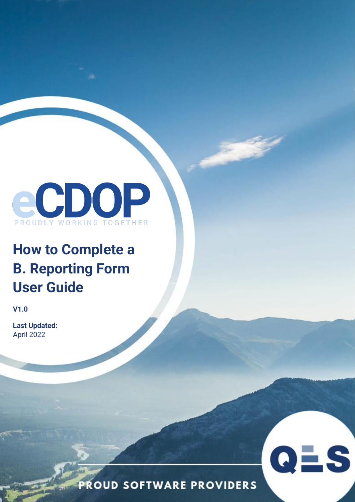

# **How to Complete a B. Reporting Form User Guide**

**V1.0**

**Last Updated:**  April 2022

**PROUD SOFTWARE PROVIDERS** 

QES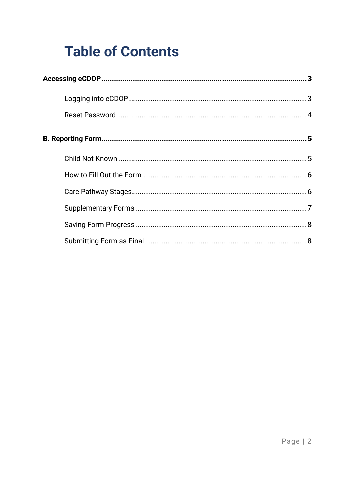# **Table of Contents**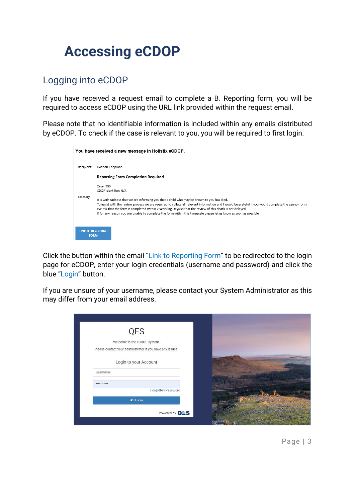# <span id="page-2-0"></span>**Accessing eCDOP**

# <span id="page-2-1"></span>Logging into eCDOP

If you have received a request email to complete a B. Reporting form, you will be required to access eCDOP using the URL link provided within the request email.

Please note that no identifiable information is included within any emails distributed by eCDOP. To check if the case is relevant to you, you will be required to first login.

|                                         | You have received a new message in Holistix eCDOP.                                                                                                                                                                                                                                                                                                                                                                                                                                     |
|-----------------------------------------|----------------------------------------------------------------------------------------------------------------------------------------------------------------------------------------------------------------------------------------------------------------------------------------------------------------------------------------------------------------------------------------------------------------------------------------------------------------------------------------|
| Recipient:                              | Hannah Chapman                                                                                                                                                                                                                                                                                                                                                                                                                                                                         |
|                                         | <b>Reporting Form Completion Required</b>                                                                                                                                                                                                                                                                                                                                                                                                                                              |
|                                         | Case: 295<br>CDOP Identifier: N/A                                                                                                                                                                                                                                                                                                                                                                                                                                                      |
| Message:                                | It is with sadness that we are informing you that a child who may be known to you has died.<br>To assist with the review process we are required to collate all relevant information and I would be grateful if you would complete the agency form.<br>We ask that the form is completed within 7 Working Days so that the review of this death is not delayed.<br>If for any reason you are unable to complete the form within this timescale please let us know as soon as possible. |
| <b>LINK TO REPORTING</b><br><b>FORM</b> |                                                                                                                                                                                                                                                                                                                                                                                                                                                                                        |

Click the button within the email "Link to Reporting Form" to be redirected to the login page for eCDOP, enter your login credentials (username and password) and click the blue "Login" button.

If you are unsure of your username, please contact your System Administrator as this may differ from your email address.

| <b>QES</b>                                                |  |
|-----------------------------------------------------------|--|
| Welcome to the eCDOP system.                              |  |
| Please contact your administrator if you have any issues. |  |
| Login to your Account                                     |  |
| username                                                  |  |
|                                                           |  |
| Forgotten Password                                        |  |
| $+1$ Login                                                |  |
| Powered by <b>QES</b>                                     |  |

Page | 3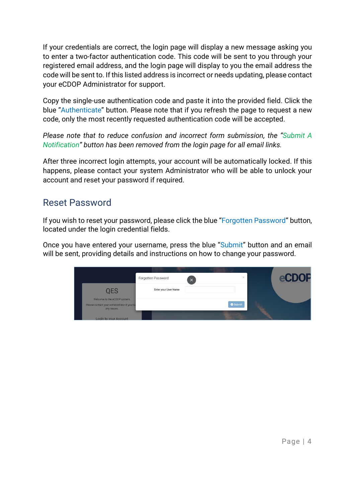If your credentials are correct, the login page will display a new message asking you to enter a two-factor authentication code. This code will be sent to you through your registered email address, and the login page will display to you the email address the code will be sent to. If this listed address is incorrect or needs updating, please contact your eCDOP Administrator for support.

Copy the single-use authentication code and paste it into the provided field. Click the blue "Authenticate" button. Please note that if you refresh the page to request a new code, only the most recently requested authentication code will be accepted.

*Please note that to reduce confusion and incorrect form submission, the "Submit A Notification" button has been removed from the login page for all email links.*

After three incorrect login attempts, your account will be automatically locked. If this happens, please contact your system Administrator who will be able to unlock your account and reset your password if required.

#### <span id="page-3-0"></span>Reset Password

If you wish to reset your password, please click the blue "Forgotten Password" button, located under the login credential fields.

Once you have entered your username, press the blue "Submit" button and an email will be sent, providing details and instructions on how to change your password.

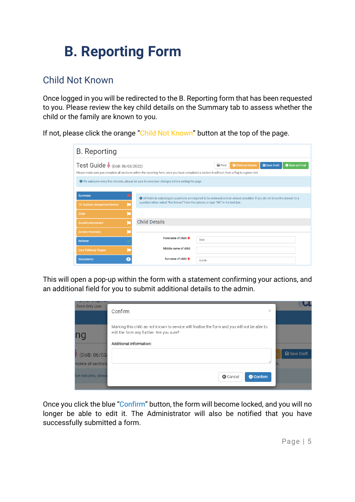# <span id="page-4-0"></span>**B. Reporting Form**

## <span id="page-4-1"></span>Child Not Known

Once logged in you will be redirected to the B. Reporting form that has been requested to you. Please review the key child details on the Summary tab to assess whether the child or the family are known to you.

If not, please click the orange "Child Not Known" button at the top of the page.

| <b>B.</b> Reporting                                                                                                                                                               |                                                                                                                                                                                                                 |                          |                     |               |  |  |  |
|-----------------------------------------------------------------------------------------------------------------------------------------------------------------------------------|-----------------------------------------------------------------------------------------------------------------------------------------------------------------------------------------------------------------|--------------------------|---------------------|---------------|--|--|--|
| Test Guide (DoB: 06/03/2022)<br>Please make sure you complete all sections within the reporting form, once you have completed a section it will turn from a flag to a green tick. | $\bigoplus$ Print                                                                                                                                                                                               | <b>O</b> Child not known | <b>a</b> Save Draft | Save as Final |  |  |  |
| <b>O</b> We autosave every five minutes, please be sure to save your changes before exiting the page                                                                              |                                                                                                                                                                                                                 |                          |                     |               |  |  |  |
| <b>Summary</b>                                                                                                                                                                    |                                                                                                                                                                                                                 |                          |                     |               |  |  |  |
| 19: Sudden Unexpected Deaths                                                                                                                                                      | All fields in subcategory questions are required to be reviewed and an answer provided. If you do not know the answer to a<br>question either select "Not known" from the options or type "NK" in the text box. |                          |                     |               |  |  |  |
| Child                                                                                                                                                                             |                                                                                                                                                                                                                 |                          |                     |               |  |  |  |
| <b>Social Environment</b>                                                                                                                                                         | <b>Child Details</b>                                                                                                                                                                                            |                          |                     |               |  |  |  |
| <b>Service Provision</b>                                                                                                                                                          |                                                                                                                                                                                                                 |                          |                     |               |  |  |  |
| Referrer                                                                                                                                                                          | Forename of child *                                                                                                                                                                                             | <b>Test</b>              |                     |               |  |  |  |
| <b>Care Pathway Stages</b>                                                                                                                                                        | Middle name of child                                                                                                                                                                                            |                          |                     |               |  |  |  |
| <b>Documents</b><br>$\Omega$                                                                                                                                                      | Surname of child *                                                                                                                                                                                              | Guide                    |                     |               |  |  |  |

This will open a pop-up within the form with a statement confirming your actions, and an additional field for you to submit additional details to the admin.

| <b>BENNETERNET WEINANDERNET</b><br>Form Only User | ×<br>Confirm                                                                                                                                                         |    |                     |
|---------------------------------------------------|----------------------------------------------------------------------------------------------------------------------------------------------------------------------|----|---------------------|
| nc                                                | Marking this child as not known to service will finalise the form and you will not be able to<br>edit the form any further. Are you sure?<br>Additional information: |    |                     |
| $\log 0.06/03$<br>mplete all sections             | 4                                                                                                                                                                    | к. | <b>a</b> Save Draft |
| ive minutes, pleas                                | <b>G</b> Cancel<br>Confirm                                                                                                                                           |    |                     |

Once you click the blue "Confirm" button, the form will become locked, and you will no longer be able to edit it. The Administrator will also be notified that you have successfully submitted a form.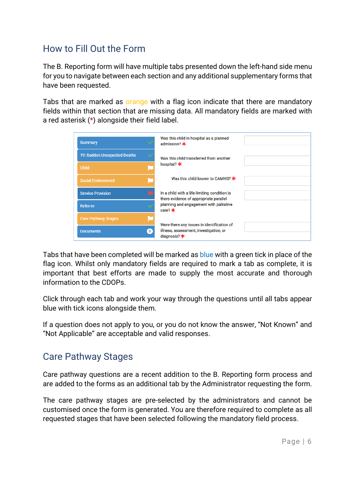### <span id="page-5-0"></span>How to Fill Out the Form

The B. Reporting form will have multiple tabs presented down the left-hand side menu for you to navigate between each section and any additional supplementary forms that have been requested.

Tabs that are marked as orange with a flag icon indicate that there are mandatory fields within that section that are missing data. All mandatory fields are marked with a red asterisk (\*) alongside their field label.

| <b>Summary</b>               |                | Was this child in hospital as a planned<br>admission? *                                                |  |
|------------------------------|----------------|--------------------------------------------------------------------------------------------------------|--|
| 19: Sudden Unexpected Deaths |                | Was this child transferred from another                                                                |  |
| Child                        | L              | hospital? <b>*</b>                                                                                     |  |
| <b>Social Environment</b>    | E              | Was this child known to CAMHS? $\star$                                                                 |  |
| <b>Service Provision</b>     |                | In a child with a life-limiting condition is<br>there evidence of appropriate parallel                 |  |
| Referrer                     |                | planning and engagement with palliative<br>care? $*$                                                   |  |
| <b>Care Pathway Stages</b>   |                |                                                                                                        |  |
| <b>Documents</b>             | $\overline{0}$ | Were there any issues in identification of<br>illness, assessment, investigation, or<br>diagnosis? $*$ |  |

Tabs that have been completed will be marked as blue with a green tick in place of the flag icon. Whilst only mandatory fields are required to mark a tab as complete, it is important that best efforts are made to supply the most accurate and thorough information to the CDOPs.

Click through each tab and work your way through the questions until all tabs appear blue with tick icons alongside them.

If a question does not apply to you, or you do not know the answer, "Not Known" and "Not Applicable" are acceptable and valid responses.

#### <span id="page-5-1"></span>Care Pathway Stages

Care pathway questions are a recent addition to the B. Reporting form process and are added to the forms as an additional tab by the Administrator requesting the form.

The care pathway stages are pre-selected by the administrators and cannot be customised once the form is generated. You are therefore required to complete as all requested stages that have been selected following the mandatory field process.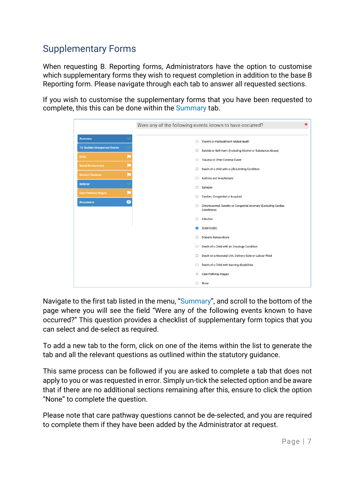## <span id="page-6-0"></span>Supplementary Forms

When requesting B. Reporting forms, Administrators have the option to customise which supplementary forms they wish to request completion in addition to the base B Reporting form. Please navigate through each tab to answer all requested sections.

If you wish to customise the supplementary forms that you have been requested to complete, this this can be done within the Summary tab.

|                                         | $\ast$<br>Were any of the following events known to have occurred?                       |
|-----------------------------------------|------------------------------------------------------------------------------------------|
| <b>Summary</b>                          | Violent or maltreatment related death<br>n                                               |
| 19: Sudden Unexpected Deaths            | Suicide or Self-Harm (Including Alcohol or Substance Abuse)<br>□                         |
| Child                                   | <b>Trauma or Other External Event</b>                                                    |
| <b>Social Environment</b>               | Death of a child with a Life-Limiting Condition                                          |
| <b>Service Provision</b>                | <b>Asthma and Anaphylaxis</b>                                                            |
| Referrer                                | <b>Epilepsy</b>                                                                          |
| <b>Care Pathway Stages</b><br>$\bullet$ | <b>Cardiac: Congenital or Acquired</b><br>п                                              |
| <b>Documents</b>                        | Chromosomal, Genetic or Congenital Anomaly (Excluding Cardiac<br>□<br><b>Conditions)</b> |
|                                         | <b>Infection</b><br>п                                                                    |
|                                         | <b>SUDI/SUDIC</b><br>$\overline{\phantom{a}}$                                            |
|                                         | <b>Diabetic Ketoacidosis</b><br>п                                                        |
|                                         | Death of a Child with an Oncology Condition<br>o                                         |
|                                         | Death on a Neonatal Unit, Delivery Suite or Labour Ward<br>o                             |
|                                         | Death of a Child with learning disabilities<br>n                                         |
|                                         | <b>Care Pathway Stages</b>                                                               |
|                                         | <b>None</b>                                                                              |

Navigate to the first tab listed in the menu, "Summary", and scroll to the bottom of the page where you will see the field "Were any of the following events known to have occurred?" This question provides a checklist of supplementary form topics that you can select and de-select as required.

To add a new tab to the form, click on one of the items within the list to generate the tab and all the relevant questions as outlined within the statutory guidance.

This same process can be followed if you are asked to complete a tab that does not apply to you or was requested in error. Simply un-tick the selected option and be aware that if there are no additional sections remaining after this, ensure to click the option "None" to complete the question.

Please note that care pathway questions cannot be de-selected, and you are required to complete them if they have been added by the Administrator at request.